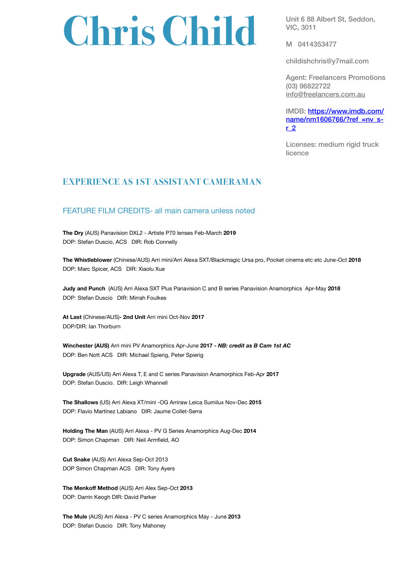# **Chris Child** Unit 6 88 Albert St, Seddon,

VIC, 3011

M 0414353477

childishchris@y7mail.com

Agent: Freelancers Promotions (03) 96822722 [info@freelancers.com.au](mailto:info@freelancers.com.au)

[IMDB: https://www.imdb.com/](https://www.imdb.com/name/nm1606766/?ref_=nv_sr_2) name/nm1606766/?ref =nv s[r\\_2](https://www.imdb.com/name/nm1606766/?ref_=nv_sr_2)

Licenses: medium rigid truck licence

# **EXPERIENCE AS 1ST ASSISTANT CAMERAMAN**

# FEATURE FILM CREDITS- all main camera unless noted

**The Dry** (AUS) Panavision DXL2 - Artiste P70 lenses Feb-March **2019**  DOP: Stefan Duscio, ACS DIR: Rob Connelly

**The Whistleblower** (Chinese/AUS) Arri mini/Arri Alexa SXT/Blackmagic Ursa pro, Pocket cinema etc etc June-Oct **2018**  DOP: Marc Spicer, ACS DIR: Xiaolu Xue

**Judy and Punch** (AUS) Arri Alexa SXT Plus Panavision C and B series Panavision Anamorphics Apr-May **2018** DOP: Stefan Duscio DIR: Mirrah Foulkes

**At Last** (Chinese/AUS)**- 2nd Unit** Arri mini Oct-Nov **2017**  DOP/DIR: Ian Thorburn

**Winchester (AUS)** Arri mini PV Anamorphics Apr-June **2017 -** *NB: credit as B Cam 1st AC*  DOP: Ben Nott ACS DIR: Michael Spierig, Peter Spierig

**Upgrade** (AUS/US) Arri Alexa T, E and C series Panavision Anamorphics Feb-Apr **2017**  DOP: Stefan Duscio. DIR: Leigh Whannell

**The Shallows** (US) Arri Alexa XT/mini -OG Arriraw Leica Sumilux Nov-Dec **2015** DOP: Flavio Martínez Labiano DIR: Jaume Collet-Serra

**Holding The Man** (AUS) Arri Alexa - PV G Series Anamorphics Aug-Dec **2014** DOP: Simon Chapman DIR: Neil Armfield, AO

**Cut Snake** (AUS) Arri Alexa Sep-Oct 2013 DOP Simon Chapman ACS DIR: Tony Ayers

**The Menkoff Method** (AUS) Arri Alex Sep-Oct **2013** DOP: Darrin Keogh DIR: David Parker

**The Mule** (AUS) Arri Alexa - PV C series Anamorphics May - June **2013** DOP: Stefan Duscio DIR: Tony Mahoney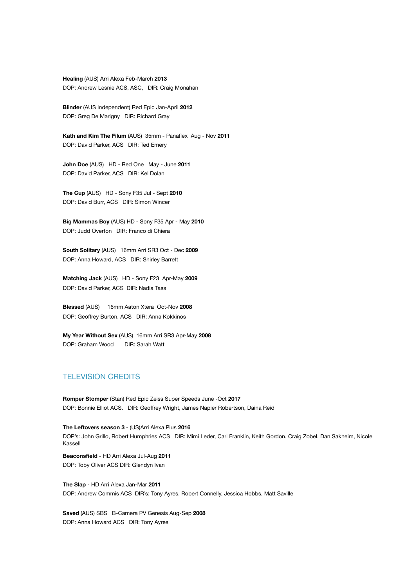**Healing** (AUS) Arri Alexa Feb-March **2013** DOP: Andrew Lesnie ACS, ASC, DIR: Craig Monahan

**Blinder** (AUS Independent) Red Epic Jan-April **2012** DOP: Greg De Marigny DIR: Richard Gray

**Kath and Kim The Filum** (AUS) 35mm - Panaflex Aug - Nov **2011** DOP: David Parker, ACS DIR: Ted Emery

**John Doe** (AUS) HD - Red One May - June **2011** DOP: David Parker, ACS DIR: Kel Dolan

**The Cup** (AUS) HD - Sony F35 Jul - Sept **2010** DOP: David Burr, ACS DIR: Simon Wincer

**Big Mammas Boy** (AUS) HD - Sony F35 Apr - May **2010** DOP: Judd Overton DIR: Franco di Chiera

**South Solitary** (AUS) 16mm Arri SR3 Oct - Dec **2009** DOP: Anna Howard, ACS DIR: Shirley Barrett

**Matching Jack** (AUS) HD - Sony F23 Apr-May **2009** DOP: David Parker, ACS DIR: Nadia Tass

**Blessed** (AUS) 16mm Aaton Xtera Oct-Nov **2008** DOP: Geoffrey Burton, ACS DIR: Anna Kokkinos

**My Year Without Sex** (AUS) 16mm Arri SR3 Apr-May **2008** DOP: Graham Wood DIR: Sarah Watt

#### TELEVISION CREDITS

**Romper Stomper** (Stan) Red Epic Zeiss Super Speeds June -Oct **2017**  DOP: Bonnie Elliot ACS. DIR: Geoffrey Wright, James Napier Robertson, Daina Reid

**The Leftovers season 3** - (US)Arri Alexa Plus **2016** DOP's: John Grillo, Robert Humphries ACS DIR: Mimi Leder, Carl Franklin, Keith Gordon, Craig Zobel, Dan Sakheim, Nicole Kassell

**Beaconsfield** - HD Arri Alexa Jul-Aug **2011**  DOP: Toby Oliver ACS DIR: Glendyn Ivan

**The Slap** - HD Arri Alexa Jan-Mar **2011**  DOP: Andrew Commis ACS DIR's: Tony Ayres, Robert Connelly, Jessica Hobbs, Matt Saville

**Saved** (AUS) SBS B-Camera PV Genesis Aug-Sep **2008** DOP: Anna Howard ACS DIR: Tony Ayres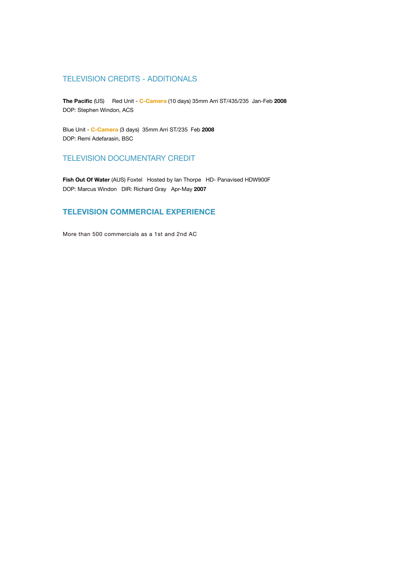#### TELEVISION CREDITS - ADDITIONALS

**The Pacific** (US) Red Unit - **C-Camera** (10 days) 35mm Arri ST/435/235 Jan-Feb **2008** DOP: Stephen Windon, ACS 

Blue Unit - **C-Camera** (3 days) 35mm Arri ST/235 Feb **2008** DOP: Remi Adefarasin, BSC

# TELEVISION DOCUMENTARY CREDIT

Fish Out Of Water (AUS) Foxtel Hosted by Ian Thorpe HD- Panavised HDW900F DOP: Marcus Windon DIR: Richard Gray Apr-May **2007**

# **TELEVISION COMMERCIAL EXPERIENCE**

More than 500 commercials as a 1st and 2nd AC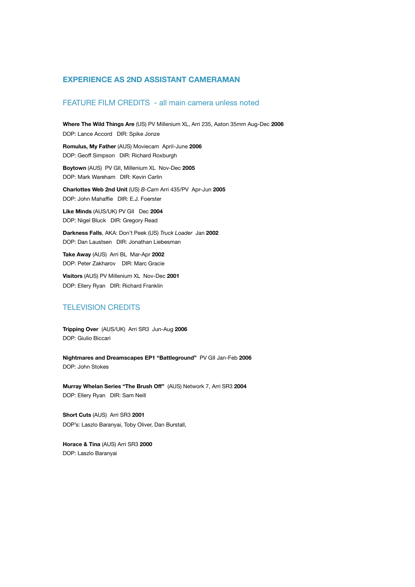#### **EXPERIENCE AS 2ND ASSISTANT CAMERAMAN**

#### FEATURE FILM CREDITS - all main camera unless noted

**Where The Wild Things Are** (US) PV Millenium XL, Arri 235, Aaton 35mm Aug-Dec **2006** DOP: Lance Accord DIR: Spike Jonze

**Romulus, My Father** (AUS) Moviecam April-June **2006**  DOP: Geoff Simpson DIR: Richard Roxburgh

**Boytown** (AUS) PV GII, Millenium XL Nov-Dec **2005**  DOP: Mark Wareham DIR: Kevin Carlin

**Charlottes Web 2nd Unit** (US) *B-Cam* Arri 435/PV Apr-Jun **2005** DOP: John Mahaffie DIR: E.J. Foerster

**Like Minds** (AUS/UK) PV GII Dec **2004** DOP: Nigel Bluck DIR: Gregory Read

**Darkness Falls**, AKA: Don't Peek (US) *Truck Loader* Jan **2002** DOP: Dan Laustsen DIR: Jonathan Liebesman

**Take Away** (AUS) Arri BL Mar-Apr **2002** DOP: Peter Zakharov DIR: Marc Gracie

**Visitors** (AUS) PV Millenium XL Nov-Dec **2001**  DOP: Ellery Ryan DIR: Richard Franklin

#### TELEVISION CREDITS

**Tripping Over** (AUS/UK) Arri SR3 Jun-Aug **2006** DOP: Giulio Biccari

**Nightmares and Dreamscapes EP1 "Battleground"** PV GII Jan-Feb **2006** DOP: John Stokes

**Murray Whelan Series "The Brush Off"** (AUS) Network 7, Arri SR3 **2004**  DOP: Ellery Ryan DIR: Sam Neill

**Short Cuts** (AUS) Arri SR3 **2001**  DOP's: Laszlo Baranyai, Toby Oliver, Dan Burstall,

**Horace & Tina** (AUS) Arri SR3 **2000**  DOP: Laszlo Baranyai